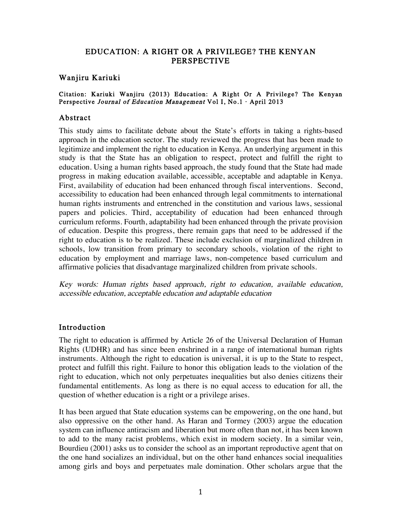### EDUCATION: A RIGHT OR A PRIVILEGE? THE KENYAN PERSPECTIVE

### Wanjiru Kariuki

#### Citation: Kariuki Wanjiru (2013) Education: A Right Or A Privilege? The Kenyan Perspective Journal of Education Management Vol I, No.1 · April 2013

### Abstract

This study aims to facilitate debate about the State's efforts in taking a rights-based approach in the education sector. The study reviewed the progress that has been made to legitimize and implement the right to education in Kenya. An underlying argument in this study is that the State has an obligation to respect, protect and fulfill the right to education. Using a human rights based approach, the study found that the State had made progress in making education available, accessible, acceptable and adaptable in Kenya. First, availability of education had been enhanced through fiscal interventions. Second, accessibility to education had been enhanced through legal commitments to international human rights instruments and entrenched in the constitution and various laws, sessional papers and policies. Third, acceptability of education had been enhanced through curriculum reforms. Fourth, adaptability had been enhanced through the private provision of education. Despite this progress, there remain gaps that need to be addressed if the right to education is to be realized. These include exclusion of marginalized children in schools, low transition from primary to secondary schools, violation of the right to education by employment and marriage laws, non-competence based curriculum and affirmative policies that disadvantage marginalized children from private schools.

Key words: Human rights based approach, right to education, available education, accessible education, acceptable education and adaptable education

### Introduction

The right to education is affirmed by Article 26 of the Universal Declaration of Human Rights (UDHR) and has since been enshrined in a range of international human rights instruments. Although the right to education is universal, it is up to the State to respect, protect and fulfill this right. Failure to honor this obligation leads to the violation of the right to education, which not only perpetuates inequalities but also denies citizens their fundamental entitlements. As long as there is no equal access to education for all, the question of whether education is a right or a privilege arises.

It has been argued that State education systems can be empowering, on the one hand, but also oppressive on the other hand. As Haran and Tormey (2003) argue the education system can influence antiracism and liberation but more often than not, it has been known to add to the many racist problems, which exist in modern society. In a similar vein, Bourdieu (2001) asks us to consider the school as an important reproductive agent that on the one hand socializes an individual, but on the other hand enhances social inequalities among girls and boys and perpetuates male domination. Other scholars argue that the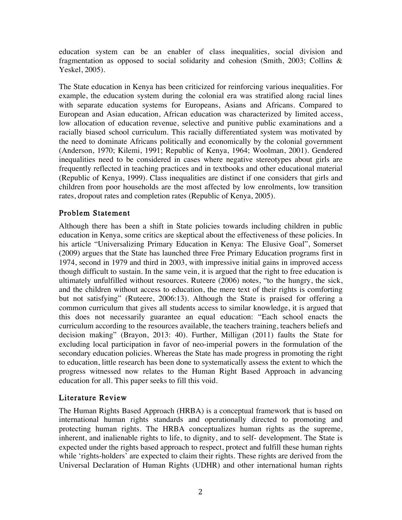education system can be an enabler of class inequalities, social division and fragmentation as opposed to social solidarity and cohesion (Smith, 2003; Collins & Yeskel, 2005).

The State education in Kenya has been criticized for reinforcing various inequalities. For example, the education system during the colonial era was stratified along racial lines with separate education systems for Europeans, Asians and Africans. Compared to European and Asian education, African education was characterized by limited access, low allocation of education revenue, selective and punitive public examinations and a racially biased school curriculum. This racially differentiated system was motivated by the need to dominate Africans politically and economically by the colonial government (Anderson, 1970; Kilemi, 1991; Republic of Kenya, 1964; Woolman, 2001). Gendered inequalities need to be considered in cases where negative stereotypes about girls are frequently reflected in teaching practices and in textbooks and other educational material (Republic of Kenya, 1999). Class inequalities are distinct if one considers that girls and children from poor households are the most affected by low enrolments, low transition rates, dropout rates and completion rates (Republic of Kenya, 2005).

# Problem Statement

Although there has been a shift in State policies towards including children in public education in Kenya, some critics are skeptical about the effectiveness of these policies. In his article "Universalizing Primary Education in Kenya: The Elusive Goal", Somerset (2009) argues that the State has launched three Free Primary Education programs first in 1974, second in 1979 and third in 2003, with impressive initial gains in improved access though difficult to sustain. In the same vein, it is argued that the right to free education is ultimately unfulfilled without resources. Ruteere (2006) notes, "to the hungry, the sick, and the children without access to education, the mere text of their rights is comforting but not satisfying" (Ruteere, 2006:13). Although the State is praised for offering a common curriculum that gives all students access to similar knowledge, it is argued that this does not necessarily guarantee an equal education: "Each school enacts the curriculum according to the resources available, the teachers training, teachers beliefs and decision making" (Brayon, 2013: 40). Further, Milligan (2011) faults the State for excluding local participation in favor of neo-imperial powers in the formulation of the secondary education policies. Whereas the State has made progress in promoting the right to education, little research has been done to systematically assess the extent to which the progress witnessed now relates to the Human Right Based Approach in advancing education for all. This paper seeks to fill this void.

# Literature Review

The Human Rights Based Approach (HRBA) is a conceptual framework that is based on international human rights standards and operationally directed to promoting and protecting human rights. The HRBA conceptualizes human rights as the supreme, inherent, and inalienable rights to life, to dignity, and to self- development. The State is expected under the rights based approach to respect, protect and fulfill these human rights while 'rights-holders' are expected to claim their rights. These rights are derived from the Universal Declaration of Human Rights (UDHR) and other international human rights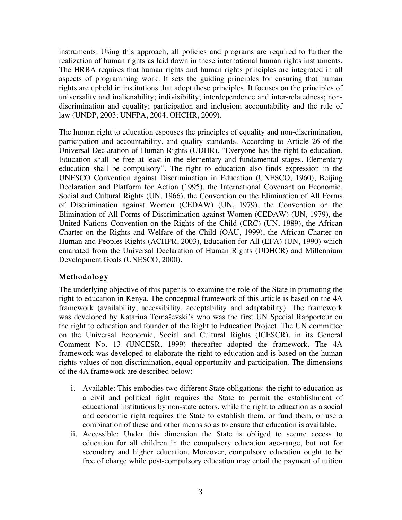instruments. Using this approach, all policies and programs are required to further the realization of human rights as laid down in these international human rights instruments. The HRBA requires that human rights and human rights principles are integrated in all aspects of programming work. It sets the guiding principles for ensuring that human rights are upheld in institutions that adopt these principles. It focuses on the principles of universality and inalienability; indivisibility; interdependence and inter-relatedness; nondiscrimination and equality; participation and inclusion; accountability and the rule of law (UNDP, 2003; UNFPA, 2004, OHCHR, 2009).

The human right to education espouses the principles of equality and non-discrimination, participation and accountability, and quality standards. According to Article 26 of the Universal Declaration of Human Rights (UDHR), "Everyone has the right to education. Education shall be free at least in the elementary and fundamental stages. Elementary education shall be compulsory". The right to education also finds expression in the UNESCO Convention against Discrimination in Education (UNESCO, 1960), Beijing Declaration and Platform for Action (1995), the International Covenant on Economic, Social and Cultural Rights (UN, 1966), the Convention on the Elimination of All Forms of Discrimination against Women (CEDAW) (UN, 1979), the Convention on the Elimination of All Forms of Discrimination against Women (CEDAW) (UN, 1979), the United Nations Convention on the Rights of the Child (CRC) (UN, 1989), the African Charter on the Rights and Welfare of the Child (OAU, 1999), the African Charter on Human and Peoples Rights (ACHPR, 2003), Education for All (EFA) (UN, 1990) which emanated from the Universal Declaration of Human Rights (UDHCR) and Millennium Development Goals (UNESCO, 2000).

# Methodology

The underlying objective of this paper is to examine the role of the State in promoting the right to education in Kenya. The conceptual framework of this article is based on the 4A framework (availability, accessibility, acceptability and adaptability). The framework was developed by Katarina Tomaševski's who was the first UN Special Rapporteur on the right to education and founder of the Right to Education Project. The UN committee on the Universal Economic, Social and Cultural Rights (ICESCR), in its General Comment No. 13 (UNCESR, 1999) thereafter adopted the framework. The 4A framework was developed to elaborate the right to education and is based on the human rights values of non-discrimination, equal opportunity and participation. The dimensions of the 4A framework are described below:

- i. Available: This embodies two different State obligations: the right to education as a civil and political right requires the State to permit the establishment of educational institutions by non-state actors, while the right to education as a social and economic right requires the State to establish them, or fund them, or use a combination of these and other means so as to ensure that education is available.
- ii. Accessible: Under this dimension the State is obliged to secure access to education for all children in the compulsory education age-range, but not for secondary and higher education. Moreover, compulsory education ought to be free of charge while post-compulsory education may entail the payment of tuition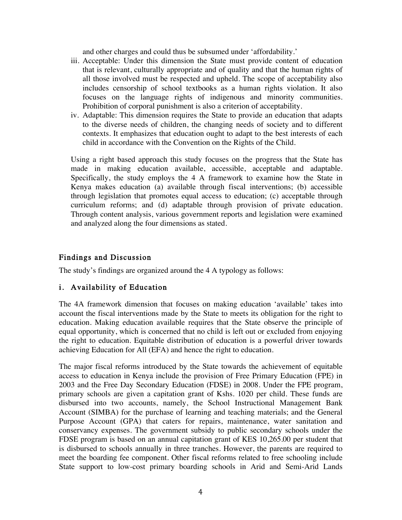and other charges and could thus be subsumed under 'affordability.'

- iii. Acceptable: Under this dimension the State must provide content of education that is relevant, culturally appropriate and of quality and that the human rights of all those involved must be respected and upheld. The scope of acceptability also includes censorship of school textbooks as a human rights violation. It also focuses on the language rights of indigenous and minority communities. Prohibition of corporal punishment is also a criterion of acceptability.
- iv. Adaptable: This dimension requires the State to provide an education that adapts to the diverse needs of children, the changing needs of society and to different contexts. It emphasizes that education ought to adapt to the best interests of each child in accordance with the Convention on the Rights of the Child.

Using a right based approach this study focuses on the progress that the State has made in making education available, accessible, acceptable and adaptable. Specifically, the study employs the 4 A framework to examine how the State in Kenya makes education (a) available through fiscal interventions; (b) accessible through legislation that promotes equal access to education; (c) acceptable through curriculum reforms; and (d) adaptable through provision of private education. Through content analysis, various government reports and legislation were examined and analyzed along the four dimensions as stated.

### Findings and Discussion

The study's findings are organized around the 4 A typology as follows:

# i. Availability of Education

The 4A framework dimension that focuses on making education 'available' takes into account the fiscal interventions made by the State to meets its obligation for the right to education. Making education available requires that the State observe the principle of equal opportunity, which is concerned that no child is left out or excluded from enjoying the right to education. Equitable distribution of education is a powerful driver towards achieving Education for All (EFA) and hence the right to education.

The major fiscal reforms introduced by the State towards the achievement of equitable access to education in Kenya include the provision of Free Primary Education (FPE) in 2003 and the Free Day Secondary Education (FDSE) in 2008. Under the FPE program, primary schools are given a capitation grant of Kshs. 1020 per child. These funds are disbursed into two accounts, namely, the School Instructional Management Bank Account (SIMBA) for the purchase of learning and teaching materials; and the General Purpose Account (GPA) that caters for repairs, maintenance, water sanitation and conservancy expenses. The government subsidy to public secondary schools under the FDSE program is based on an annual capitation grant of KES 10,265.00 per student that is disbursed to schools annually in three tranches. However, the parents are required to meet the boarding fee component. Other fiscal reforms related to free schooling include State support to low-cost primary boarding schools in Arid and Semi-Arid Lands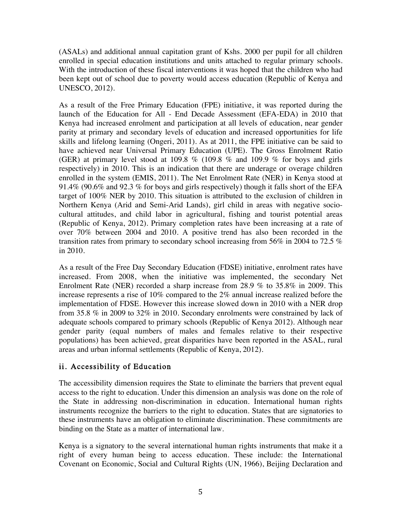(ASALs) and additional annual capitation grant of Kshs. 2000 per pupil for all children enrolled in special education institutions and units attached to regular primary schools. With the introduction of these fiscal interventions it was hoped that the children who had been kept out of school due to poverty would access education (Republic of Kenya and UNESCO, 2012).

As a result of the Free Primary Education (FPE) initiative, it was reported during the launch of the Education for All - End Decade Assessment (EFA-EDA) in 2010 that Kenya had increased enrolment and participation at all levels of education, near gender parity at primary and secondary levels of education and increased opportunities for life skills and lifelong learning (Ongeri, 2011). As at 2011, the FPE initiative can be said to have achieved near Universal Primary Education (UPE). The Gross Enrolment Ratio (GER) at primary level stood at 109.8 % (109.8 % and 109.9 % for boys and girls respectively) in 2010. This is an indication that there are underage or overage children enrolled in the system (EMIS, 2011). The Net Enrolment Rate (NER) in Kenya stood at 91.4% (90.6% and 92.3 % for boys and girls respectively) though it falls short of the EFA target of 100% NER by 2010. This situation is attributed to the exclusion of children in Northern Kenya (Arid and Semi-Arid Lands), girl child in areas with negative sociocultural attitudes, and child labor in agricultural, fishing and tourist potential areas (Republic of Kenya, 2012). Primary completion rates have been increasing at a rate of over 70% between 2004 and 2010. A positive trend has also been recorded in the transition rates from primary to secondary school increasing from 56% in 2004 to 72.5 % in 2010.

As a result of the Free Day Secondary Education (FDSE) initiative, enrolment rates have increased. From 2008, when the initiative was implemented, the secondary Net Enrolment Rate (NER) recorded a sharp increase from 28.9 % to 35.8% in 2009. This increase represents a rise of 10% compared to the 2% annual increase realized before the implementation of FDSE. However this increase slowed down in 2010 with a NER drop from 35.8 % in 2009 to 32% in 2010. Secondary enrolments were constrained by lack of adequate schools compared to primary schools (Republic of Kenya 2012). Although near gender parity (equal numbers of males and females relative to their respective populations) has been achieved, great disparities have been reported in the ASAL, rural areas and urban informal settlements (Republic of Kenya, 2012).

# ii. Accessibility of Education

The accessibility dimension requires the State to eliminate the barriers that prevent equal access to the right to education. Under this dimension an analysis was done on the role of the State in addressing non-discrimination in education. International human rights instruments recognize the barriers to the right to education. States that are signatories to these instruments have an obligation to eliminate discrimination. These commitments are binding on the State as a matter of international law.

Kenya is a signatory to the several international human rights instruments that make it a right of every human being to access education. These include: the International Covenant on Economic, Social and Cultural Rights (UN, 1966), Beijing Declaration and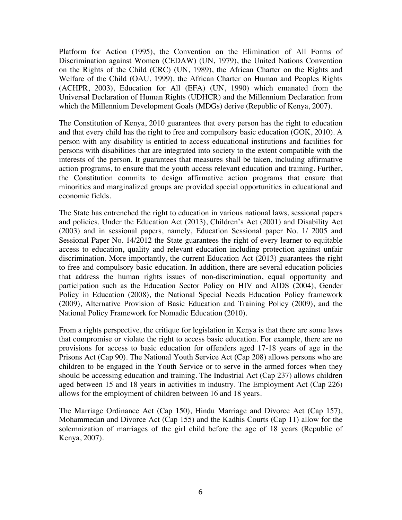Platform for Action (1995), the Convention on the Elimination of All Forms of Discrimination against Women (CEDAW) (UN, 1979), the United Nations Convention on the Rights of the Child (CRC) (UN, 1989), the African Charter on the Rights and Welfare of the Child (OAU, 1999), the African Charter on Human and Peoples Rights (ACHPR, 2003), Education for All (EFA) (UN, 1990) which emanated from the Universal Declaration of Human Rights (UDHCR) and the Millennium Declaration from which the Millennium Development Goals (MDGs) derive (Republic of Kenya, 2007).

The Constitution of Kenya, 2010 guarantees that every person has the right to education and that every child has the right to free and compulsory basic education (GOK, 2010). A person with any disability is entitled to access educational institutions and facilities for persons with disabilities that are integrated into society to the extent compatible with the interests of the person. It guarantees that measures shall be taken, including affirmative action programs, to ensure that the youth access relevant education and training. Further, the Constitution commits to design affirmative action programs that ensure that minorities and marginalized groups are provided special opportunities in educational and economic fields.

The State has entrenched the right to education in various national laws, sessional papers and policies. Under the Education Act (2013), Children's Act (2001) and Disability Act (2003) and in sessional papers, namely, Education Sessional paper No. 1/ 2005 and Sessional Paper No. 14/2012 the State guarantees the right of every learner to equitable access to education, quality and relevant education including protection against unfair discrimination. More importantly, the current Education Act (2013) guarantees the right to free and compulsory basic education. In addition, there are several education policies that address the human rights issues of non-discrimination, equal opportunity and participation such as the Education Sector Policy on HIV and AIDS (2004), Gender Policy in Education (2008), the National Special Needs Education Policy framework (2009), Alternative Provision of Basic Education and Training Policy (2009), and the National Policy Framework for Nomadic Education (2010).

From a rights perspective, the critique for legislation in Kenya is that there are some laws that compromise or violate the right to access basic education. For example, there are no provisions for access to basic education for offenders aged 17-18 years of age in the Prisons Act (Cap 90). The National Youth Service Act (Cap 208) allows persons who are children to be engaged in the Youth Service or to serve in the armed forces when they should be accessing education and training. The Industrial Act (Cap 237) allows children aged between 15 and 18 years in activities in industry. The Employment Act (Cap 226) allows for the employment of children between 16 and 18 years.

The Marriage Ordinance Act (Cap 150), Hindu Marriage and Divorce Act (Cap 157), Mohammedan and Divorce Act (Cap 155) and the Kadhis Courts (Cap 11) allow for the solemnization of marriages of the girl child before the age of 18 years (Republic of Kenya, 2007).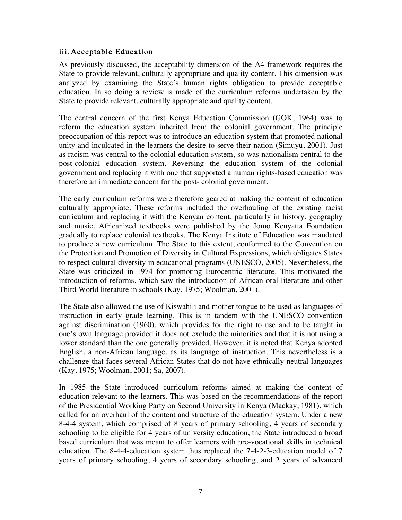### iii. Acceptable Education

As previously discussed, the acceptability dimension of the A4 framework requires the State to provide relevant, culturally appropriate and quality content. This dimension was analyzed by examining the State's human rights obligation to provide acceptable education. In so doing a review is made of the curriculum reforms undertaken by the State to provide relevant, culturally appropriate and quality content.

The central concern of the first Kenya Education Commission (GOK, 1964) was to reform the education system inherited from the colonial government. The principle preoccupation of this report was to introduce an education system that promoted national unity and inculcated in the learners the desire to serve their nation (Simuyu, 2001). Just as racism was central to the colonial education system, so was nationalism central to the post-colonial education system. Reversing the education system of the colonial government and replacing it with one that supported a human rights-based education was therefore an immediate concern for the post- colonial government.

The early curriculum reforms were therefore geared at making the content of education culturally appropriate. These reforms included the overhauling of the existing racist curriculum and replacing it with the Kenyan content, particularly in history, geography and music. Africanized textbooks were published by the Jomo Kenyatta Foundation gradually to replace colonial textbooks. The Kenya Institute of Education was mandated to produce a new curriculum. The State to this extent, conformed to the Convention on the Protection and Promotion of Diversity in Cultural Expressions, which obligates States to respect cultural diversity in educational programs (UNESCO, 2005). Nevertheless, the State was criticized in 1974 for promoting Eurocentric literature. This motivated the introduction of reforms, which saw the introduction of African oral literature and other Third World literature in schools (Kay, 1975; Woolman, 2001).

The State also allowed the use of Kiswahili and mother tongue to be used as languages of instruction in early grade learning. This is in tandem with the UNESCO convention against discrimination (1960), which provides for the right to use and to be taught in one's own language provided it does not exclude the minorities and that it is not using a lower standard than the one generally provided. However, it is noted that Kenya adopted English, a non-African language, as its language of instruction. This nevertheless is a challenge that faces several African States that do not have ethnically neutral languages (Kay, 1975; Woolman, 2001; Sa, 2007).

In 1985 the State introduced curriculum reforms aimed at making the content of education relevant to the learners. This was based on the recommendations of the report of the Presidential Working Party on Second University in Kenya (Mackay, 1981), which called for an overhaul of the content and structure of the education system. Under a new 8-4-4 system, which comprised of 8 years of primary schooling, 4 years of secondary schooling to be eligible for 4 years of university education, the State introduced a broad based curriculum that was meant to offer learners with pre-vocational skills in technical education. The 8-4-4-education system thus replaced the 7-4-2-3-education model of 7 years of primary schooling, 4 years of secondary schooling, and 2 years of advanced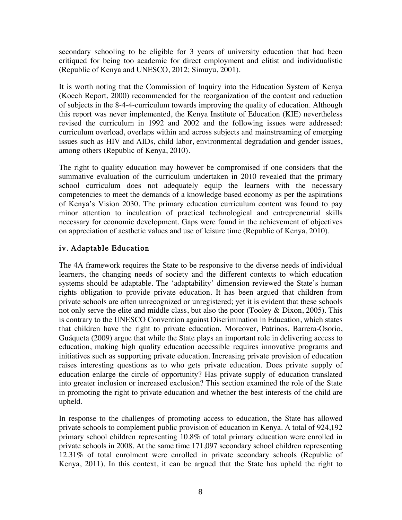secondary schooling to be eligible for 3 years of university education that had been critiqued for being too academic for direct employment and elitist and individualistic (Republic of Kenya and UNESCO, 2012; Simuyu, 2001).

It is worth noting that the Commission of Inquiry into the Education System of Kenya (Koech Report, 2000) recommended for the reorganization of the content and reduction of subjects in the 8-4-4-curriculum towards improving the quality of education. Although this report was never implemented, the Kenya Institute of Education (KIE) nevertheless revised the curriculum in 1992 and 2002 and the following issues were addressed: curriculum overload, overlaps within and across subjects and mainstreaming of emerging issues such as HIV and AIDs, child labor, environmental degradation and gender issues, among others (Republic of Kenya, 2010).

The right to quality education may however be compromised if one considers that the summative evaluation of the curriculum undertaken in 2010 revealed that the primary school curriculum does not adequately equip the learners with the necessary competencies to meet the demands of a knowledge based economy as per the aspirations of Kenya's Vision 2030. The primary education curriculum content was found to pay minor attention to inculcation of practical technological and entrepreneurial skills necessary for economic development. Gaps were found in the achievement of objectives on appreciation of aesthetic values and use of leisure time (Republic of Kenya, 2010).

# iv. Adaptable Education

The 4A framework requires the State to be responsive to the diverse needs of individual learners, the changing needs of society and the different contexts to which education systems should be adaptable. The 'adaptability' dimension reviewed the State's human rights obligation to provide private education. It has been argued that children from private schools are often unrecognized or unregistered; yet it is evident that these schools not only serve the elite and middle class, but also the poor (Tooley & Dixon, 2005). This is contrary to the UNESCO Convention against Discrimination in Education, which states that children have the right to private education. Moreover, Patrinos, Barrera-Osorio, Guáqueta (2009) argue that while the State plays an important role in delivering access to education, making high quality education accessible requires innovative programs and initiatives such as supporting private education. Increasing private provision of education raises interesting questions as to who gets private education. Does private supply of education enlarge the circle of opportunity? Has private supply of education translated into greater inclusion or increased exclusion? This section examined the role of the State in promoting the right to private education and whether the best interests of the child are upheld.

In response to the challenges of promoting access to education, the State has allowed private schools to complement public provision of education in Kenya. A total of 924,192 primary school children representing 10.8% of total primary education were enrolled in private schools in 2008. At the same time 171,097 secondary school children representing 12.31% of total enrolment were enrolled in private secondary schools (Republic of Kenya, 2011). In this context, it can be argued that the State has upheld the right to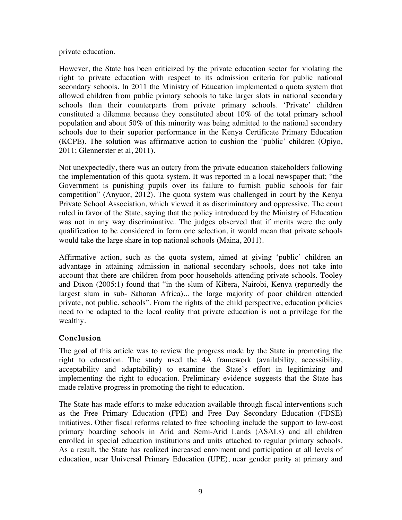#### private education.

However, the State has been criticized by the private education sector for violating the right to private education with respect to its admission criteria for public national secondary schools. In 2011 the Ministry of Education implemented a quota system that allowed children from public primary schools to take larger slots in national secondary schools than their counterparts from private primary schools. 'Private' children constituted a dilemma because they constituted about 10% of the total primary school population and about 50% of this minority was being admitted to the national secondary schools due to their superior performance in the Kenya Certificate Primary Education (KCPE). The solution was affirmative action to cushion the 'public' children (Opiyo, 2011; Glennerster et al, 2011).

Not unexpectedly, there was an outcry from the private education stakeholders following the implementation of this quota system. It was reported in a local newspaper that; "the Government is punishing pupils over its failure to furnish public schools for fair competition" (Anyuor, 2012). The quota system was challenged in court by the Kenya Private School Association, which viewed it as discriminatory and oppressive. The court ruled in favor of the State, saying that the policy introduced by the Ministry of Education was not in any way discriminative. The judges observed that if merits were the only qualification to be considered in form one selection, it would mean that private schools would take the large share in top national schools (Maina, 2011).

Affirmative action, such as the quota system, aimed at giving 'public' children an advantage in attaining admission in national secondary schools, does not take into account that there are children from poor households attending private schools. Tooley and Dixon (2005:1) found that "in the slum of Kibera, Nairobi, Kenya (reportedly the largest slum in sub- Saharan Africa)... the large majority of poor children attended private, not public, schools". From the rights of the child perspective, education policies need to be adapted to the local reality that private education is not a privilege for the wealthy.

# Conclusion

The goal of this article was to review the progress made by the State in promoting the right to education. The study used the 4A framework (availability, accessibility, acceptability and adaptability) to examine the State's effort in legitimizing and implementing the right to education. Preliminary evidence suggests that the State has made relative progress in promoting the right to education.

The State has made efforts to make education available through fiscal interventions such as the Free Primary Education (FPE) and Free Day Secondary Education (FDSE) initiatives. Other fiscal reforms related to free schooling include the support to low-cost primary boarding schools in Arid and Semi-Arid Lands (ASALs) and all children enrolled in special education institutions and units attached to regular primary schools. As a result, the State has realized increased enrolment and participation at all levels of education, near Universal Primary Education (UPE), near gender parity at primary and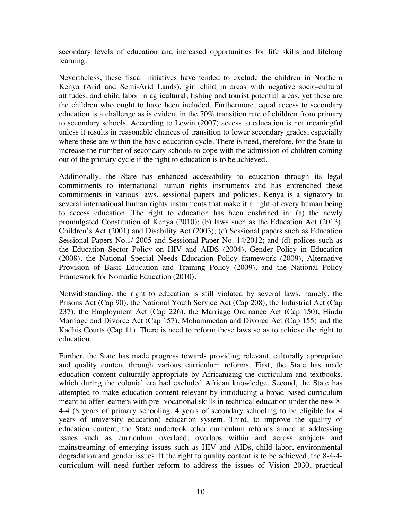secondary levels of education and increased opportunities for life skills and lifelong learning.

Nevertheless, these fiscal initiatives have tended to exclude the children in Northern Kenya (Arid and Semi-Arid Lands), girl child in areas with negative socio-cultural attitudes, and child labor in agricultural, fishing and tourist potential areas, yet these are the children who ought to have been included. Furthermore, equal access to secondary education is a challenge as is evident in the 70% transition rate of children from primary to secondary schools. According to Lewin (2007) access to education is not meaningful unless it results in reasonable chances of transition to lower secondary grades, especially where these are within the basic education cycle. There is need, therefore, for the State to increase the number of secondary schools to cope with the admission of children coming out of the primary cycle if the right to education is to be achieved.

Additionally, the State has enhanced accessibility to education through its legal commitments to international human rights instruments and has entrenched these commitments in various laws, sessional papers and policies. Kenya is a signatory to several international human rights instruments that make it a right of every human being to access education. The right to education has been enshrined in: (a) the newly promulgated Constitution of Kenya (2010); (b) laws such as the Education Act (2013), Children's Act (2001) and Disability Act (2003); (c) Sessional papers such as Education Sessional Papers No.1/ 2005 and Sessional Paper No. 14/2012; and (d) polices such as the Education Sector Policy on HIV and AIDS (2004), Gender Policy in Education (2008), the National Special Needs Education Policy framework (2009), Alternative Provision of Basic Education and Training Policy (2009), and the National Policy Framework for Nomadic Education (2010).

Notwithstanding, the right to education is still violated by several laws, namely, the Prisons Act (Cap 90), the National Youth Service Act (Cap 208), the Industrial Act (Cap 237), the Employment Act (Cap 226), the Marriage Ordinance Act (Cap 150), Hindu Marriage and Divorce Act (Cap 157), Mohammedan and Divorce Act (Cap 155) and the Kadhis Courts (Cap 11). There is need to reform these laws so as to achieve the right to education.

Further, the State has made progress towards providing relevant, culturally appropriate and quality content through various curriculum reforms. First, the State has made education content culturally appropriate by Africanizing the curriculum and textbooks, which during the colonial era had excluded African knowledge. Second, the State has attempted to make education content relevant by introducing a broad based curriculum meant to offer learners with pre- vocational skills in technical education under the new 8- 4-4 (8 years of primary schooling, 4 years of secondary schooling to be eligible for 4 years of university education) education system. Third, to improve the quality of education content, the State undertook other curriculum reforms aimed at addressing issues such as curriculum overload, overlaps within and across subjects and mainstreaming of emerging issues such as HIV and AIDs, child labor, environmental degradation and gender issues. If the right to quality content is to be achieved, the 8-4-4 curriculum will need further reform to address the issues of Vision 2030, practical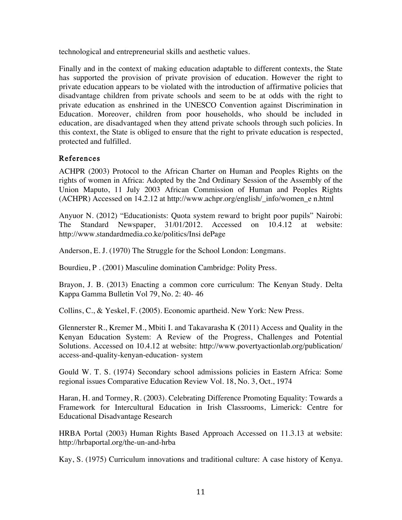technological and entrepreneurial skills and aesthetic values.

Finally and in the context of making education adaptable to different contexts, the State has supported the provision of private provision of education. However the right to private education appears to be violated with the introduction of affirmative policies that disadvantage children from private schools and seem to be at odds with the right to private education as enshrined in the UNESCO Convention against Discrimination in Education. Moreover, children from poor households, who should be included in education, are disadvantaged when they attend private schools through such policies. In this context, the State is obliged to ensure that the right to private education is respected, protected and fulfilled.

### References

ACHPR (2003) Protocol to the African Charter on Human and Peoples Rights on the rights of women in Africa: Adopted by the 2nd Ordinary Session of the Assembly of the Union Maputo, 11 July 2003 African Commission of Human and Peoples Rights (ACHPR) Accessed on 14.2.12 at http://www.achpr.org/english/\_info/women\_e n.html

Anyuor N. (2012) "Educationists: Quota system reward to bright poor pupils" Nairobi: The Standard Newspaper, 31/01/2012. Accessed on 10.4.12 at website: http://www.standardmedia.co.ke/politics/Insi dePage

Anderson, E. J. (1970) The Struggle for the School London: Longmans.

Bourdieu, P . (2001) Masculine domination Cambridge: Polity Press.

Brayon, J. B. (2013) Enacting a common core curriculum: The Kenyan Study. Delta Kappa Gamma Bulletin Vol 79, No. 2: 40- 46

Collins, C., & Yeskel, F. (2005). Economic apartheid. New York: New Press.

Glennerster R., Kremer M., Mbiti I. and Takavarasha K (2011) Access and Quality in the Kenyan Education System: A Review of the Progress, Challenges and Potential Solutions. Accessed on 10.4.12 at website: http://www.povertyactionlab.org/publication/ access-and-quality-kenyan-education- system

Gould W. T. S. (1974) Secondary school admissions policies in Eastern Africa: Some regional issues Comparative Education Review Vol. 18, No. 3, Oct., 1974

Haran, H. and Tormey, R. (2003). Celebrating Difference Promoting Equality: Towards a Framework for Intercultural Education in Irish Classrooms, Limerick: Centre for Educational Disadvantage Research

HRBA Portal (2003) Human Rights Based Approach Accessed on 11.3.13 at website: http://hrbaportal.org/the-un-and-hrba

Kay, S. (1975) Curriculum innovations and traditional culture: A case history of Kenya.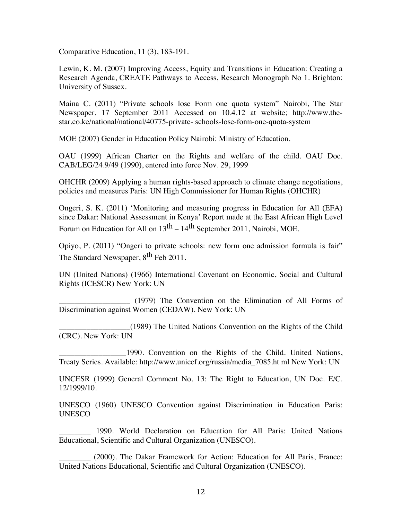Comparative Education, 11 (3), 183-191.

Lewin, K. M. (2007) Improving Access, Equity and Transitions in Education: Creating a Research Agenda, CREATE Pathways to Access, Research Monograph No 1. Brighton: University of Sussex.

Maina C. (2011) "Private schools lose Form one quota system" Nairobi, The Star Newspaper. 17 September 2011 Accessed on 10.4.12 at website; http://www.thestar.co.ke/national/national/40775-private- schools-lose-form-one-quota-system

MOE (2007) Gender in Education Policy Nairobi: Ministry of Education.

OAU (1999) African Charter on the Rights and welfare of the child. OAU Doc. CAB/LEG/24.9/49 (1990), entered into force Nov. 29, 1999

OHCHR (2009) Applying a human rights-based approach to climate change negotiations, policies and measures Paris: UN High Commissioner for Human Rights (OHCHR)

Ongeri, S. K. (2011) 'Monitoring and measuring progress in Education for All (EFA) since Dakar: National Assessment in Kenya' Report made at the East African High Level Forum on Education for All on  $13<sup>th</sup> - 14<sup>th</sup>$  September 2011, Nairobi, MOE.

Opiyo, P. (2011) "Ongeri to private schools: new form one admission formula is fair" The Standard Newspaper, 8<sup>th</sup> Feb 2011.

UN (United Nations) (1966) International Covenant on Economic, Social and Cultural Rights (ICESCR) New York: UN

\_\_\_\_\_\_\_\_\_\_\_\_\_\_\_\_\_\_ (1979) The Convention on the Elimination of All Forms of Discrimination against Women (CEDAW). New York: UN

\_\_\_\_\_\_\_\_\_\_\_\_\_\_\_\_\_\_(1989) The United Nations Convention on the Rights of the Child (CRC). New York: UN

\_\_\_\_\_\_\_\_\_\_\_\_\_\_\_\_\_1990. Convention on the Rights of the Child. United Nations, Treaty Series. Available: http://www.unicef.org/russia/media\_7085.ht ml New York: UN

UNCESR (1999) General Comment No. 13: The Right to Education, UN Doc. E/C. 12/1999/10.

UNESCO (1960) UNESCO Convention against Discrimination in Education Paris: UNESCO

\_\_\_\_\_\_\_\_ 1990. World Declaration on Education for All Paris: United Nations Educational, Scientific and Cultural Organization (UNESCO).

\_\_\_\_\_\_\_\_ (2000). The Dakar Framework for Action: Education for All Paris, France: United Nations Educational, Scientific and Cultural Organization (UNESCO).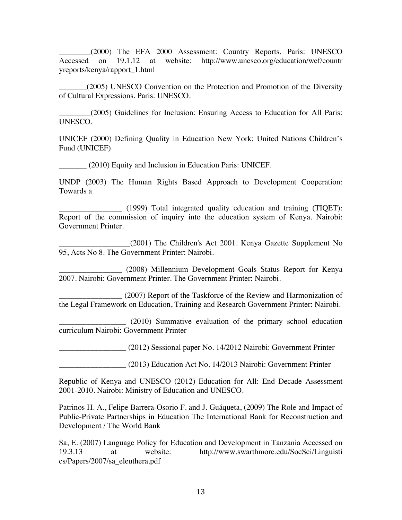\_\_\_\_\_\_\_\_(2000) The EFA 2000 Assessment: Country Reports. Paris: UNESCO Accessed on 19.1.12 at website: http://www.unesco.org/education/wef/countr yreports/kenya/rapport\_1.html

\_\_\_\_\_\_\_(2005) UNESCO Convention on the Protection and Promotion of the Diversity of Cultural Expressions. Paris: UNESCO.

\_\_\_\_\_\_\_\_(2005) Guidelines for Inclusion: Ensuring Access to Education for All Paris: UNESCO.

UNICEF (2000) Defining Quality in Education New York: United Nations Children's Fund (UNICEF)

\_\_\_\_\_\_\_ (2010) Equity and Inclusion in Education Paris: UNICEF.

UNDP (2003) The Human Rights Based Approach to Development Cooperation: Towards a

\_\_\_\_\_\_\_\_\_\_\_\_\_\_\_\_ (1999) Total integrated quality education and training (TIQET): Report of the commission of inquiry into the education system of Kenya. Nairobi: Government Printer.

\_\_\_\_\_\_\_\_\_\_\_\_\_\_\_\_\_\_(2001) The Children's Act 2001. Kenya Gazette Supplement No 95, Acts No 8. The Government Printer: Nairobi.

\_\_\_\_\_\_\_\_\_\_\_\_\_\_\_\_ (2008) Millennium Development Goals Status Report for Kenya 2007. Nairobi: Government Printer. The Government Printer: Nairobi.

\_\_\_\_\_\_\_\_\_\_\_\_\_\_\_\_ (2007) Report of the Taskforce of the Review and Harmonization of the Legal Framework on Education, Training and Research Government Printer: Nairobi.

 $(2010)$  Summative evaluation of the primary school education curriculum Nairobi: Government Printer

\_\_\_\_\_\_\_\_\_\_\_\_\_\_\_\_\_ (2012) Sessional paper No. 14/2012 Nairobi: Government Printer

\_\_\_\_\_\_\_\_\_\_\_\_\_\_\_\_\_ (2013) Education Act No. 14/2013 Nairobi: Government Printer

Republic of Kenya and UNESCO (2012) Education for All: End Decade Assessment 2001-2010. Nairobi: Ministry of Education and UNESCO.

Patrinos H. A., Felipe Barrera-Osorio F. and J. Guáqueta, (2009) The Role and Impact of Public-Private Partnerships in Education The International Bank for Reconstruction and Development / The World Bank

Sa, E. (2007) Language Policy for Education and Development in Tanzania Accessed on 19.3.13 at website: http://www.swarthmore.edu/SocSci/Linguisti cs/Papers/2007/sa\_eleuthera.pdf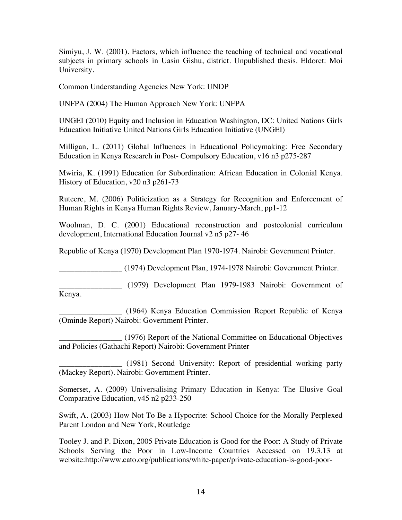Simiyu, J. W. (2001). Factors, which influence the teaching of technical and vocational subjects in primary schools in Uasin Gishu, district. Unpublished thesis. Eldoret: Moi University.

Common Understanding Agencies New York: UNDP

UNFPA (2004) The Human Approach New York: UNFPA

UNGEI (2010) Equity and Inclusion in Education Washington, DC: United Nations Girls Education Initiative United Nations Girls Education Initiative (UNGEI)

Milligan, L. (2011) Global Influences in Educational Policymaking: Free Secondary Education in Kenya Research in Post- Compulsory Education, v16 n3 p275-287

Mwiria, K. (1991) Education for Subordination: African Education in Colonial Kenya. History of Education, v20 n3 p261-73

Ruteere, M. (2006) Politicization as a Strategy for Recognition and Enforcement of Human Rights in Kenya Human Rights Review, January-March, pp1-12

Woolman, D. C. (2001) Educational reconstruction and postcolonial curriculum development, International Education Journal v2 n5 p27- 46

Republic of Kenya (1970) Development Plan 1970-1974. Nairobi: Government Printer.

\_\_\_\_\_\_\_\_\_\_\_\_\_\_\_\_ (1974) Development Plan, 1974-1978 Nairobi: Government Printer.

\_\_\_\_\_\_\_\_\_\_\_\_\_\_\_\_ (1979) Development Plan 1979-1983 Nairobi: Government of Kenya.

\_\_\_\_\_\_\_\_\_\_\_\_\_\_\_\_ (1964) Kenya Education Commission Report Republic of Kenya (Ominde Report) Nairobi: Government Printer.

\_\_\_\_\_\_\_\_\_\_\_\_\_\_\_\_ (1976) Report of the National Committee on Educational Objectives and Policies (Gathachi Report) Nairobi: Government Printer

\_\_\_\_\_\_\_\_\_\_\_\_\_\_\_\_ (1981) Second University: Report of presidential working party (Mackey Report). Nairobi: Government Printer.

Somerset, A. (2009) Universalising Primary Education in Kenya: The Elusive Goal Comparative Education, v45 n2 p233-250

Swift, A. (2003) How Not To Be a Hypocrite: School Choice for the Morally Perplexed Parent London and New York, Routledge

Tooley J. and P. Dixon, 2005 Private Education is Good for the Poor: A Study of Private Schools Serving the Poor in Low-Income Countries Accessed on 19.3.13 at website:http://www.cato.org/publications/white-paper/private-education-is-good-poor